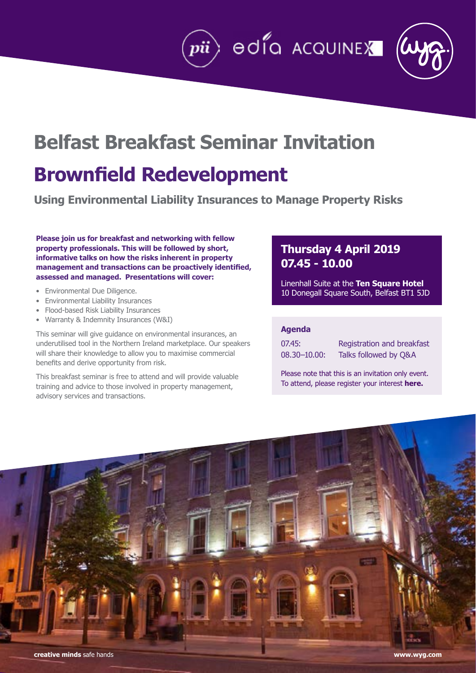# **Belfast Breakfast Seminar Invitation**

# **Brownfield Redevelopment**

**Using Environmental Liability Insurances to Manage Property Risks**

**Please join us for breakfast and networking with fellow property professionals. This will be followed by short, informative talks on how the risks inherent in property management and transactions can be proactively identified, assessed and managed. Presentations will cover:**

- Environmental Due Diligence.
- Environmental Liability Insurances
- Flood-based Risk Liability Insurances
- Warranty & Indemnity Insurances (W&I)

This seminar will give guidance on environmental insurances, an underutilised tool in the Northern Ireland marketplace. Our speakers will share their knowledge to allow you to maximise commercial benefits and derive opportunity from risk.

This breakfast seminar is free to attend and will provide valuable training and advice to those involved in property management, advisory services and transactions.

## **Thursday 4 April 2019 07.45 - 10.00**

Linenhall Suite at the **[Ten Square Hotel](https://www.tensquare.co.uk/contact/Hotel-Location/)** 10 Donegall Square South, Belfast BT1 5JD

 $\ket{\textcolor{blue}{pi}}$  ed  $\textcolor{blue}{\bullet}$  acquinex

| 07.45:          | Re |
|-----------------|----|
| $08.30 - 10.00$ | Та |

aistration and breakfast lks followed by Q&A

Please note that this is an invitation only event. To attend, please register your interest **[here.](mailto:breakfastseminar%40wyg.com?subject=Register%20interest%20to%20Breakfast%20Seminar)**